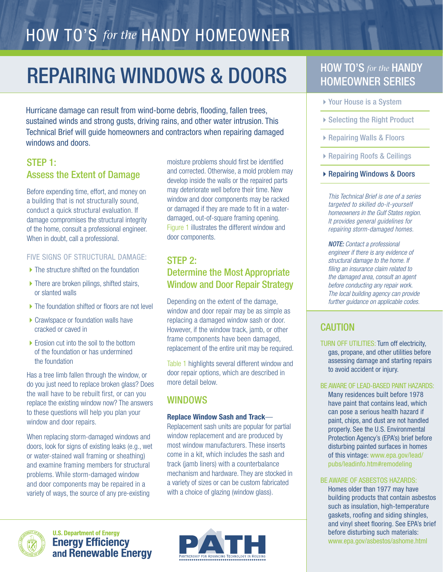# HOW TO'S *for the* HANDY HOMEOWNER

# **REPAIRING WINDOWS & DOORS** HOW TO'S for the HANDY

Hurricane damage can result from wind-borne debris, flooding, fallen trees, sustained winds and strong gusts, driving rains, and other water intrusion. This Technical Brief will guide homeowners and contractors when repairing damaged windows and doors.

# STEP 1: Assess the Extent of Damage

Before expending time, effort, and money on a building that is not structurally sound, conduct a quick structural evaluation. If damage compromises the structural integrity of the home, consult a professional engineer. When in doubt, call a professional.

#### FIVE SIGNS OF STRUCTURAL DAMAGE:

- $\blacktriangleright$  The structure shifted on the foundation
- $\blacktriangleright$  There are broken pilings, shifted stairs, or slanted walls
- ▶ The foundation shifted or floors are not level
- $\triangleright$  Crawlspace or foundation walls have cracked or caved in
- $\blacktriangleright$  Erosion cut into the soil to the bottom of the foundation or has undermined the foundation

Has a tree limb fallen through the window, or do you just need to replace broken glass? Does the wall have to be rebuilt first, or can you replace the existing window now? The answers to these questions will help you plan your window and door repairs.

When replacing storm-damaged windows and doors, look for signs of existing leaks (e.g., wet or water-stained wall framing or sheathing) and examine framing members for structural problems. While storm-damaged window and door components may be repaired in a variety of ways, the source of any pre-existing

moisture problems should first be identified and corrected. Otherwise, a mold problem may develop inside the walls or the repaired parts may deteriorate well before their time. New window and door components may be racked or damaged if they are made to fit in a waterdamaged, out-of-square framing opening. Figure 1 illustrates the different window and door components.

# STEP 2: Determine the Most Appropriate Window and Door Repair Strategy

Depending on the extent of the damage, window and door repair may be as simple as replacing a damaged window sash or door. However, if the window track, jamb, or other frame components have been damaged, replacement of the entire unit may be required.

Table 1 highlights several different window and door repair options, which are described in more detail below.

## WINDOWS

#### Replace Window Sash and Track—

Replacement sash units are popular for partial window replacement and are produced by most window manufacturers. These inserts come in a kit, which includes the sash and track (jamb liners) with a counterbalance mechanism and hardware. They are stocked in a variety of sizes or can be custom fabricated with a choice of glazing (window glass).



**U.S. Department of Energy Energy Efficiency<br>and Renewable Energy** 



# HOMEOWNER SERIES

- ▶ Your House is a System
- ▶ Selecting the Right Product
- ▶ Repairing Walls & Floors
- ▶ Repairing Roofs & Ceilings
- ▶ Repairing Windows & Doors

This Technical Brief is one of a series targeted to skilled do-it-yourself homeowners in the Gulf States region. It provides general guidelines for repairing storm-damaged homes.

NOTE: Contact a professional engineer if there is any evidence of structural damage to the home. If filing an insurance claim related to the damaged area, consult an agent before conducting any repair work. The local building agency can provide further guidance on applicable codes.

# CAUTION

TURN OFF UTILITIES: Turn off electricity, gas, propane, and other utilities before assessing damage and starting repairs to avoid accident or injury.

#### BE AWARE OF LEAD-BASED PAINT HAZARDS:

Many residences built before 1978 have paint that contains lead, which can pose a serious health hazard if paint, chips, and dust are not handled properly. See the U.S. Environmental Protection Agency's (EPA's) brief before disturbing painted surfaces in homes of this vintage: www.epa.gov/lead/ pubs/leadinfo.htm#remodeling

#### BE AWARE OF ASBESTOS HAZARDS:

Homes older than 1977 may have building products that contain asbestos such as insulation, high-temperature gaskets, roofing and siding shingles, and vinyl sheet flooring. See EPA's brief before disturbing such materials: www.epa.gov/asbestos/ashome.html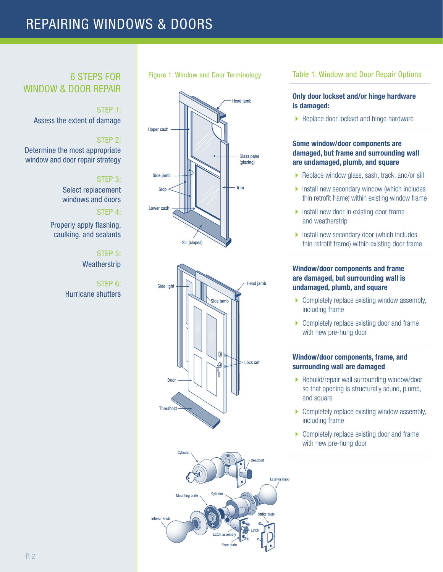# REPAIRING WINDOWS & DOORS

# WINDOW & DOOR REPAIR

#### STEP 1:

Assess the extent of damage

### STEP 2:

Determine the most appropriate window and door repair strategy

#### STEP 3:

Select replacement windows and doors

#### STEP 4:

Properly apply flashing, caulking, and sealants

#### STEP 5: **Weatherstrip**

STEP 6: Hurricane shutters

#### Figure 1. Window and Door Terminology 6 STEPS FOR







#### Table 1. Window and Door Repair Options

#### Only door lockset and/or hinge hardware is damaged:

▶ Replace door lockset and hinge hardware

#### Some window/door components are damaged, but frame and surrounding wall are undamaged, plumb, and square

- ▶ Replace window glass, sash, track, and/or sill
- $\blacktriangleright$  Install new secondary window (which includes thin retrofit frame) within existing window frame
- $\blacktriangleright$  Install new door in existing door frame and weatherstrip
- **Install new secondary door (which includes**) thin retrofit frame) within existing door frame

#### Window/door components and frame are damaged, but surrounding wall is undamaged, plumb, and square

- $\triangleright$  Completely replace existing window assembly, including frame
- $\triangleright$  Completely replace existing door and frame with new pre-hung door

#### Window/door components, frame, and surrounding wall are damaged

- ▶ Rebuild/repair wall surrounding window/door so that opening is structurally sound, plumb, and square
- $\triangleright$  Completely replace existing window assembly, including frame
- ▶ Completely replace existing door and frame with new pre-hung door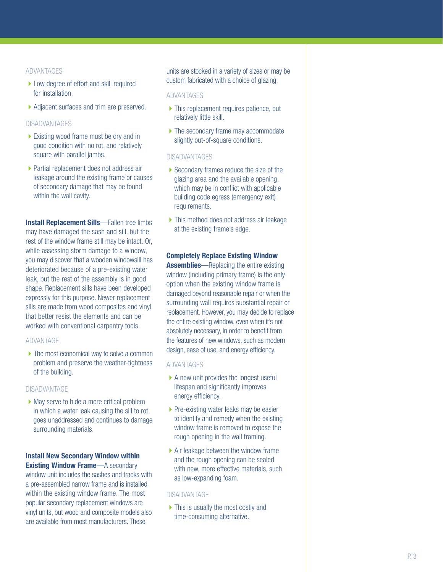#### ADVANTAGES

- ▶ Low degree of effort and skill required for installation.
- ▶ Adjacent surfaces and trim are preserved.

#### DISADVANTAGES

- $\blacktriangleright$  Existing wood frame must be dry and in good condition with no rot, and relatively square with parallel jambs.
- ▶ Partial replacement does not address air leakage around the existing frame or causes of secondary damage that may be found within the wall cavity.

**Install Replacement Sills**—Fallen tree limbs may have damaged the sash and sill, but the rest of the window frame still may be intact. Or, while assessing storm damage to a window, you may discover that a wooden windowsill has deteriorated because of a pre-existing water leak, but the rest of the assembly is in good shape. Replacement sills have been developed expressly for this purpose. Newer replacement sills are made from wood composites and vinyl that better resist the elements and can be worked with conventional carpentry tools.

#### ADVANTAGE

 $\blacktriangleright$  The most economical way to solve a common problem and preserve the weather-tightness of the building.

#### DISADVANTAGE

 $\blacktriangleright$  May serve to hide a more critical problem in which a water leak causing the sill to rot goes unaddressed and continues to damage surrounding materials.

#### Install New Secondary Window within Existing Window Frame—A secondary

window unit includes the sashes and tracks with a pre-assembled narrow frame and is installed within the existing window frame. The most popular secondary replacement windows are vinyl units, but wood and composite models also are available from most manufacturers. These

units are stocked in a variety of sizes or may be custom fabricated with a choice of glazing.

#### ADVANTAGES

- $\blacktriangleright$  This replacement requires patience, but relatively little skill.
- $\blacktriangleright$  The secondary frame may accommodate slightly out-of-square conditions.

#### **DISADVANTAGES**

- $\blacktriangleright$  Secondary frames reduce the size of the glazing area and the available opening, which may be in conflict with applicable building code egress (emergency exit) requirements.
- $\blacktriangleright$  This method does not address air leakage at the existing frame's edge.

#### Completely Replace Existing Window

**Assemblies**—Replacing the entire existing window (including primary frame) is the only option when the existing window frame is damaged beyond reasonable repair or when the surrounding wall requires substantial repair or replacement. However, you may decide to replace the entire existing window, even when it's not absolutely necessary, in order to benefit from the features of new windows, such as modern design, ease of use, and energy efficiency.

#### ADVANTAGES

- $\triangleright$  A new unit provides the longest useful lifespan and significantly improves energy efficiency.
- $\blacktriangleright$  Pre-existing water leaks may be easier to identify and remedy when the existing window frame is removed to expose the rough opening in the wall framing.
- $\blacktriangleright$  Air leakage between the window frame and the rough opening can be sealed with new, more effective materials, such as low-expanding foam.

#### **DISADVANTAGE**

 $\triangleright$  This is usually the most costly and time-consuming alternative.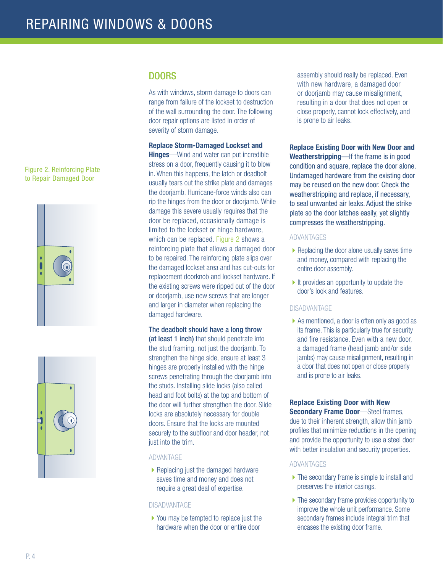#### Figure 2. Reinforcing Plate to Repair Damaged Door





# DOORS

As with windows, storm damage to doors can range from failure of the lockset to destruction of the wall surrounding the door. The following door repair options are listed in order of severity of storm damage.

#### Replace Storm-Damaged Lockset and

**Hinges**—Wind and water can put incredible stress on a door, frequently causing it to blow in. When this happens, the latch or deadbolt usually tears out the strike plate and damages the doorjamb. Hurricane-force winds also can rip the hinges from the door or doorjamb. While damage this severe usually requires that the door be replaced, occasionally damage is limited to the lockset or hinge hardware, which can be replaced. Figure 2 shows a reinforcing plate that allows a damaged door to be repaired. The reinforcing plate slips over the damaged lockset area and has cut-outs for replacement doorknob and lockset hardware. If the existing screws were ripped out of the door or doorjamb, use new screws that are longer and larger in diameter when replacing the damaged hardware.

#### The deadbolt should have a long throw

(at least 1 inch) that should penetrate into the stud framing, not just the doorjamb. To strengthen the hinge side, ensure at least 3 hinges are properly installed with the hinge screws penetrating through the doorjamb into the studs. Installing slide locks (also called head and foot bolts) at the top and bottom of the door will further strengthen the door. Slide locks are absolutely necessary for double doors. Ensure that the locks are mounted securely to the subfloor and door header, not just into the trim.

#### ADVANTAGE

 $\blacktriangleright$  Replacing just the damaged hardware saves time and money and does not require a great deal of expertise.

#### DISADVANTAGE

▶ You may be tempted to replace just the hardware when the door or entire door

assembly should really be replaced. Even with new hardware, a damaged door or doorjamb may cause misalignment, resulting in a door that does not open or close properly, cannot lock effectively, and is prone to air leaks.

Replace Existing Door with New Door and Weatherstripping—If the frame is in good condition and square, replace the door alone. Undamaged hardware from the existing door may be reused on the new door. Check the weatherstripping and replace, if necessary, to seal unwanted air leaks. Adjust the strike plate so the door latches easily, yet slightly compresses the weatherstripping.

#### ADVANTAGES

- $\blacktriangleright$  Replacing the door alone usually saves time and money, compared with replacing the entire door assembly.
- $\blacktriangleright$  It provides an opportunity to update the door's look and features.

#### DISADVANTAGE

▶ As mentioned, a door is often only as good as its frame. This is particularly true for security and fire resistance. Even with a new door, a damaged frame (head jamb and/or side jambs) may cause misalignment, resulting in a door that does not open or close properly and is prone to air leaks.

## Replace Existing Door with New

**Secondary Frame Door**—Steel frames, due to their inherent strength, allow thin jamb profiles that minimize reductions in the opening and provide the opportunity to use a steel door with better insulation and security properties.

#### **ADVANTAGES**

- $\blacktriangleright$  The secondary frame is simple to install and preserves the interior casings.
- $\blacktriangleright$  The secondary frame provides opportunity to improve the whole unit performance. Some secondary frames include integral trim that encases the existing door frame.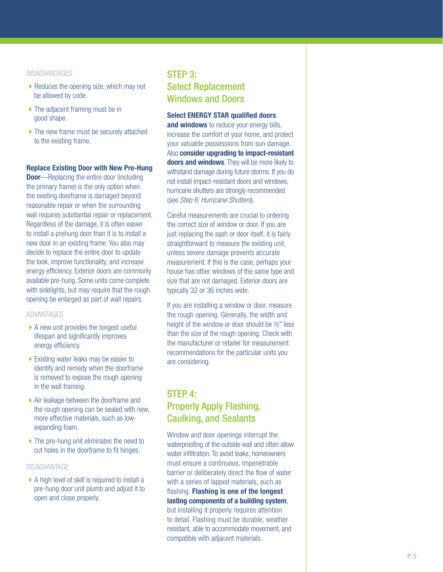#### DISADVANTAGES

- $\blacktriangleright$  Reduces the opening size, which may not be allowed by code.
- $\blacktriangleright$  The adjacent framing must be in good shape.
- $\blacktriangleright$  The new frame must be securely attached to the existing frame.

#### Replace Existing Door with New Pre-Hung

**Door**—Replacing the entire door (including the primary frame) is the only option when the existing doorframe is damaged beyond reasonable repair or when the surrounding wall requires substantial repair or replacement. Regardless of the damage, it is often easier to install a prehung door than it is to install a new door in an existing frame. You also may decide to replace the entire door to update the look, improve functionality, and increase energy efficiency. Exterior doors are commonly available pre-hung. Some units come complete with sidelights, but may require that the rough opening be enlarged as part of wall repairs.

#### ADVANTAGES

- $\triangleright$  A new unit provides the longest useful lifespan and significantly improves energy efficiency.
- $\blacktriangleright$  Existing water leaks may be easier to identify and remedy when the doorframe is removed to expose the rough opening in the wall framing.
- $\blacktriangleright$  Air leakage between the doorframe and the rough opening can be sealed with new, more effective materials, such as lowexpanding foam.
- $\blacktriangleright$  The pre-hung unit eliminates the need to cut holes in the doorframe to fit hinges.

#### **DISADVANTAGE**

 $\triangleright$  A high level of skill is required to install a pre-hung door unit plumb and adjust it to open and close properly.

# STEP 3: Select Replacement Windows and Doors

Select ENERGY STAR qualified doors and windows to reduce your energy bills, increase the comfort of your home, and protect your valuable possessions from sun damage. Also consider upgrading to impact-resistant doors and windows. They will be more likely to withstand damage during future storms. If you do not install impact-resistant doors and windows, hurricane shutters are strongly recommended (see Step 6: Hurricane Shutters).

Careful measurements are crucial to ordering the correct size of window or door. If you are just replacing the sash or door itself, it is fairly straightforward to measure the existing unit. unless severe damage prevents accurate measurement. If this is the case, perhaps your house has other windows of the same type and size that are not damaged. Exterior doors are typically 32 or 36 inches wide.

If you are installing a window or door, measure the rough opening. Generally, the width and height of the window or door should be ½" less than the size of the rough opening. Check with the manufacturer or retailer for measurement recommendations for the particular units you are considering.

# STEP 4: Properly Apply Flashing, Caulking, and Sealants

Window and door openings interrupt the waterproofing of the outside wall and often allow water infiltration. To avoid leaks, homeowners must ensure a continuous, impenetrable barrier or deliberately direct the flow of water with a series of lapped materials, such as flashing. Flashing is one of the longest lasting components of a building system, but installing it properly requires attention to detail. Flashing must be durable, weather resistant, able to accommodate movement, and compatible with adjacent materials.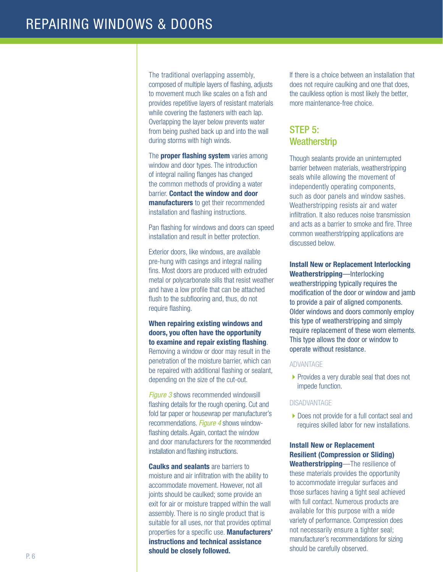The traditional overlapping assembly, composed of multiple layers of flashing, adjusts to movement much like scales on a fish and provides repetitive layers of resistant materials while covering the fasteners with each lap. Overlapping the layer below prevents water from being pushed back up and into the wall during storms with high winds.

The **proper flashing system** varies among window and door types. The introduction of integral nailing flanges has changed the common methods of providing a water barrier. Contact the window and door manufacturers to get their recommended installation and flashing instructions.

Pan flashing for windows and doors can speed installation and result in better protection.

Exterior doors, like windows, are available pre-hung with casings and integral nailing fins. Most doors are produced with extruded metal or polycarbonate sills that resist weather and have a low profile that can be attached flush to the subflooring and, thus, do not require flashing.

When repairing existing windows and doors, you often have the opportunity to examine and repair existing flashing. Removing a window or door may result in the penetration of the moisture barrier, which can be repaired with additional flashing or sealant, depending on the size of the cut-out.

**Figure 3** shows recommended windowsill flashing details for the rough opening. Cut and fold tar paper or housewrap per manufacturer's recommendations. Figure 4 shows windowflashing details. Again, contact the window and door manufacturers for the recommended installation and flashing instructions.

**Caulks and sealants** are barriers to moisture and air infiltration with the ability to accommodate movement. However, not all joints should be caulked; some provide an exit for air or moisture trapped within the wall assembly. There is no single product that is suitable for all uses, nor that provides optimal properties for a specific use. Manufacturers' instructions and technical assistance should be closely followed.

If there is a choice between an installation that does not require caulking and one that does, the caulkless option is most likely the better, more maintenance-free choice.

## STEP 5: **Weatherstrip**

Though sealants provide an uninterrupted barrier between materials, weatherstripping seals while allowing the movement of independently operating components, such as door panels and window sashes. Weatherstripping resists air and water infiltration. It also reduces noise transmission and acts as a barrier to smoke and fire. Three common weatherstripping applications are discussed below.

Install New or Replacement Interlocking Weatherstripping—Interlocking weatherstripping typically requires the modification of the door or window and jamb to provide a pair of aligned components. Older windows and doors commonly employ this type of weatherstripping and simply require replacement of these worn elements. This type allows the door or window to operate without resistance.

#### ADVANTAGE

▶ Provides a very durable seal that does not impede function.

#### DISADVANTAGE

▶ Does not provide for a full contact seal and requires skilled labor for new installations.

## Install New or Replacement Resilient (Compression or Sliding)

Weatherstripping—The resilience of these materials provides the opportunity to accommodate irregular surfaces and those surfaces having a tight seal achieved with full contact. Numerous products are available for this purpose with a wide variety of performance. Compression does not necessarily ensure a tighter seal; manufacturer's recommendations for sizing should be carefully observed.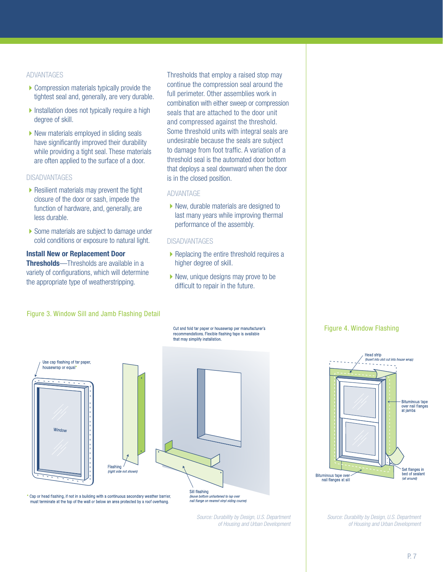#### ADVANTAGES

- $\triangleright$  Compression materials typically provide the tightest seal and, generally, are very durable.
- $\blacktriangleright$  Installation does not typically require a high degree of skill.
- $\blacktriangleright$  New materials employed in sliding seals have significantly improved their durability while providing a tight seal. These materials are often applied to the surface of a door.

#### DISADVANTAGES

- $\blacktriangleright$  Resilient materials may prevent the tight closure of the door or sash, impede the function of hardware, and, generally, are less durable.
- $\blacktriangleright$  Some materials are subject to damage under cold conditions or exposure to natural light.

Install New or Replacement Door **Thresholds**—Thresholds are available in a variety of configurations, which will determine the appropriate type of weatherstripping.

Thresholds that employ a raised stop may continue the compression seal around the full perimeter. Other assemblies work in combination with either sweep or compression seals that are attached to the door unit and compressed against the threshold. Some threshold units with integral seals are undesirable because the seals are subject to damage from foot traffic. A variation of a threshold seal is the automated door bottom that deploys a seal downward when the door is in the closed position.

#### ADVANTAGE

 $\blacktriangleright$  New, durable materials are designed to last many years while improving thermal performance of the assembly.

#### **DISADVANTAGES**

- $\blacktriangleright$  Replacing the entire threshold requires a higher degree of skill.
- $\blacktriangleright$  New, unique designs may prove to be difficult to repair in the future.

Cut and fold tar paper or housewrap per manufacturer's recommendations. Flexible flashing tape is available

that may simplify installation.

#### Figure 3. Window Sill and Jamb Flashing Detail





Cap or head flashing, if not in a building with a continuous secondary weather barrier, must terminate at the top of the wall or below an area protected by a roof overhang.

Flashing

(leave bottom unfastened to lap over nail flange on nearest vinvl siding coursel

> Source: Durability by Design, U.S. Department of Housing and Urban Development



Figure 4. Window Flashing



Bituminous tape overnail flanges at sill

> Source: Durability by Design, U.S. Department of Housing and Urban Development

(all around)